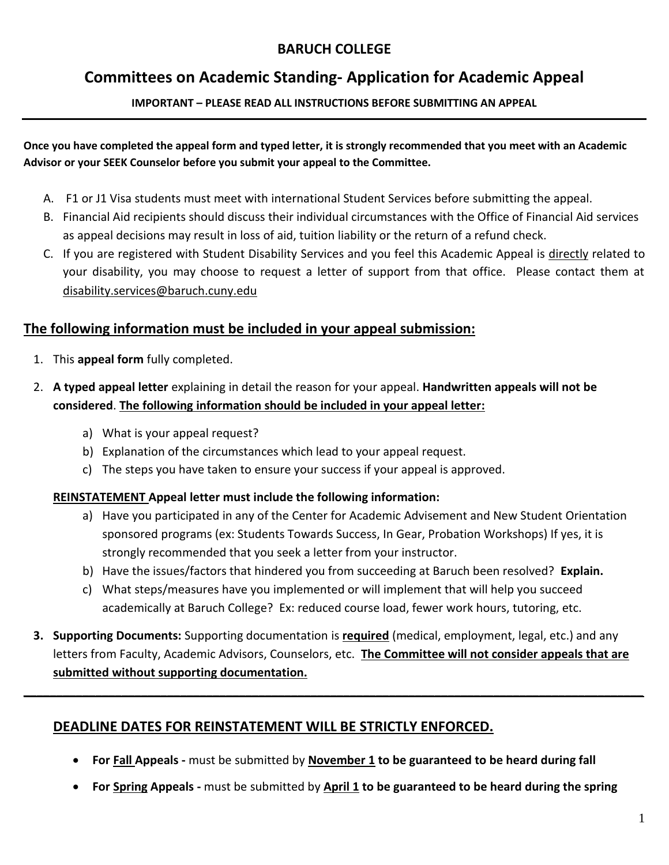## **BARUCH COLLEGE**

# **Committees on Academic Standing- Application for Academic Appeal**

**IMPORTANT – PLEASE READ ALL INSTRUCTIONS BEFORE SUBMITTING AN APPEAL**

**Once you have completed the appeal form and typed letter, it is strongly recommended that you meet with an Academic Advisor or your SEEK Counselor before you submit your appeal to the Committee.**

- A. F1 or J1 Visa students must meet with international Student Services before submitting the appeal.
- B. Financial Aid recipients should discuss their individual circumstances with the Office of Financial Aid services as appeal decisions may result in loss of aid, tuition liability or the return of a refund check.
- C. If you are registered with Student Disability Services and you feel this Academic Appeal is directly related to your disability, you may choose to request a letter of support from that office. Please contact them at disability.services@baruch.cuny.edu

## **The following information must be included in your appeal submission:**

- 1. This **appeal form** fully completed.
- 2. **A typed appeal letter** explaining in detail the reason for your appeal. **Handwritten appeals will not be considered**. **The following information should be included in your appeal letter:**
	- a) What is your appeal request?
	- b) Explanation of the circumstances which lead to your appeal request.
	- c) The steps you have taken to ensure your success if your appeal is approved.

## **REINSTATEMENT Appeal letter must include the following information:**

- a) Have you participated in any of the Center for Academic Advisement and New Student Orientation sponsored programs (ex: Students Towards Success, In Gear, Probation Workshops) If yes, it is strongly recommended that you seek a letter from your instructor.
- b) Have the issues/factors that hindered you from succeeding at Baruch been resolved? **Explain.**
- c) What steps/measures have you implemented or will implement that will help you succeed academically at Baruch College? Ex: reduced course load, fewer work hours, tutoring, etc.
- **3. Supporting Documents:** Supporting documentation is **required** (medical, employment, legal, etc.) and any letters from Faculty, Academic Advisors, Counselors, etc. **The Committee will not consider appeals that are submitted without supporting documentation.**

**\_\_\_\_\_\_\_\_\_\_\_\_\_\_\_\_\_\_\_\_\_\_\_\_\_\_\_\_\_\_\_\_\_\_\_\_\_\_\_\_\_\_\_\_\_\_\_\_\_\_\_\_\_\_\_\_\_\_\_\_\_\_\_\_\_\_\_\_\_\_\_\_\_\_\_\_\_\_\_\_\_\_\_\_\_\_\_\_\_\_\_\_\_\_\_** 

## **DEADLINE DATES FOR REINSTATEMENT WILL BE STRICTLY ENFORCED.**

- **For Fall Appeals -** must be submitted by **November 1 to be guaranteed to be heard during fall**
- **For Spring Appeals -** must be submitted by **April 1 to be guaranteed to be heard during the spring**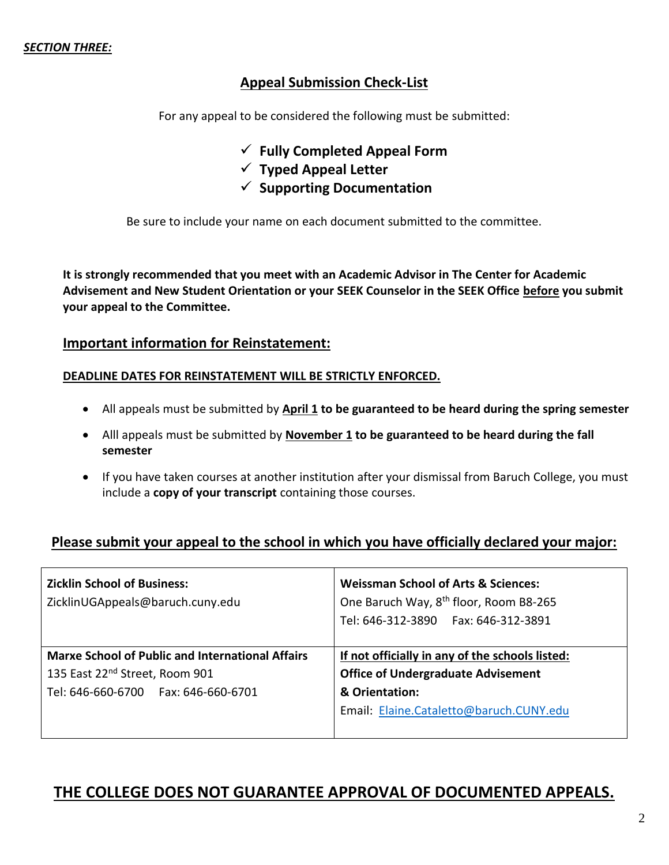## **Appeal Submission Check-List**

For any appeal to be considered the following must be submitted:

- **Fully Completed Appeal Form**
- **Typed Appeal Letter**
- $\checkmark$  Supporting Documentation

Be sure to include your name on each document submitted to the committee.

**It is strongly recommended that you meet with an Academic Advisor in The Center for Academic Advisement and New Student Orientation or your SEEK Counselor in the SEEK Office before you submit your appeal to the Committee.**

### **Important information for Reinstatement:**

### **DEADLINE DATES FOR REINSTATEMENT WILL BE STRICTLY ENFORCED.**

- All appeals must be submitted by **April 1** to be guaranteed to be heard during the spring semester
- Alll appeals must be submitted by **November 1 to be guaranteed to be heard during the fall semester**
- If you have taken courses at another institution after your dismissal from Baruch College, you must include a **copy of your transcript** containing those courses.

## **Please submit your appeal to the school in which you have officially declared your major:**

| <b>Zicklin School of Business:</b><br>ZicklinUGAppeals@baruch.cuny.edu | <b>Weissman School of Arts &amp; Sciences:</b><br>One Baruch Way, 8 <sup>th</sup> floor, Room B8-265<br>Tel: 646-312-3890    Fax: 646-312-3891 |  |
|------------------------------------------------------------------------|------------------------------------------------------------------------------------------------------------------------------------------------|--|
| <b>Marxe School of Public and International Affairs</b>                | If not officially in any of the schools listed:                                                                                                |  |
| 135 East 22 <sup>nd</sup> Street, Room 901                             | <b>Office of Undergraduate Advisement</b>                                                                                                      |  |
| Tel: 646-660-6700    Fax: 646-660-6701                                 | & Orientation:                                                                                                                                 |  |
|                                                                        | Email: Elaine.Cataletto@baruch.CUNY.edu                                                                                                        |  |

## **THE COLLEGE DOES NOT GUARANTEE APPROVAL OF DOCUMENTED APPEALS.**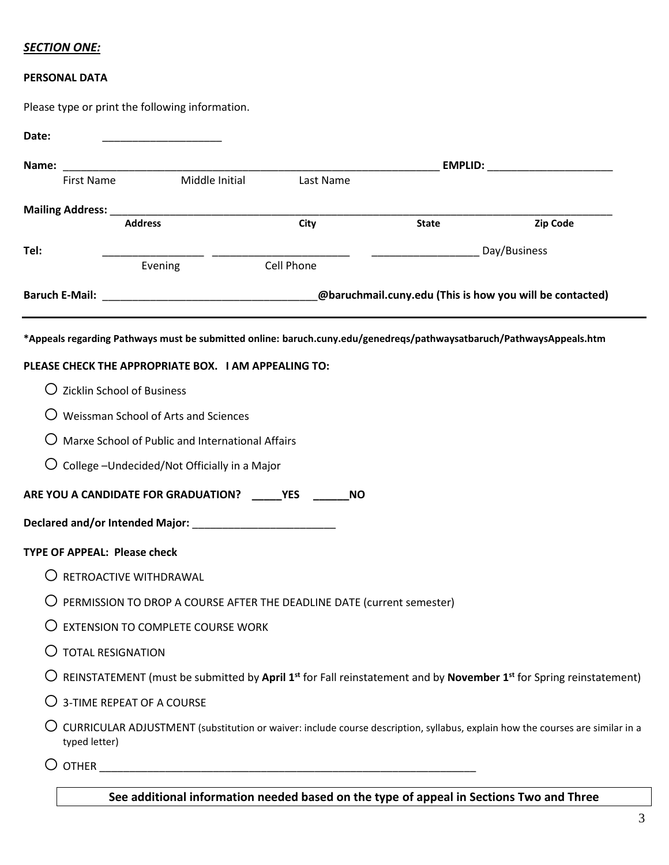### *SECTION ONE:*

#### **PERSONAL DATA**

Please type or print the following information.

| Name:                                 |                                                                                                                      |            |              | EMPLID: The contract of the contract of the contract of the contract of the contract of the contract of the contract of the contract of the contract of the contract of the contract of the contract of the contract of the co |
|---------------------------------------|----------------------------------------------------------------------------------------------------------------------|------------|--------------|--------------------------------------------------------------------------------------------------------------------------------------------------------------------------------------------------------------------------------|
| First Name                            | Middle Initial                                                                                                       | Last Name  |              |                                                                                                                                                                                                                                |
|                                       |                                                                                                                      |            |              |                                                                                                                                                                                                                                |
|                                       | <b>Address</b>                                                                                                       | City       | <b>State</b> | Zip Code                                                                                                                                                                                                                       |
| Tel:                                  | Evening                                                                                                              | Cell Phone |              | Day/Business                                                                                                                                                                                                                   |
|                                       |                                                                                                                      |            |              |                                                                                                                                                                                                                                |
|                                       | Baruch E-Mail: __________________________________@baruchmail.cuny.edu (This is how you will be contacted)            |            |              |                                                                                                                                                                                                                                |
|                                       | *Appeals regarding Pathways must be submitted online: baruch.cuny.edu/genedreqs/pathwaysatbaruch/PathwaysAppeals.htm |            |              |                                                                                                                                                                                                                                |
|                                       | PLEASE CHECK THE APPROPRIATE BOX. I AM APPEALING TO:                                                                 |            |              |                                                                                                                                                                                                                                |
| $\bigcirc$ Zicklin School of Business |                                                                                                                      |            |              |                                                                                                                                                                                                                                |
|                                       | Weissman School of Arts and Sciences                                                                                 |            |              |                                                                                                                                                                                                                                |
|                                       | Marxe School of Public and International Affairs                                                                     |            |              |                                                                                                                                                                                                                                |
|                                       | $\bigcirc$ College -Undecided/Not Officially in a Major                                                              |            |              |                                                                                                                                                                                                                                |
|                                       | ARE YOU A CANDIDATE FOR GRADUATION? VES                                                                              | <b>NO</b>  |              |                                                                                                                                                                                                                                |
|                                       |                                                                                                                      |            |              |                                                                                                                                                                                                                                |
| <b>TYPE OF APPEAL: Please check</b>   |                                                                                                                      |            |              |                                                                                                                                                                                                                                |
| RETROACTIVE WITHDRAWAL                |                                                                                                                      |            |              |                                                                                                                                                                                                                                |
|                                       | $\bigcirc$ PERMISSION TO DROP A COURSE AFTER THE DEADLINE DATE (current semester)                                    |            |              |                                                                                                                                                                                                                                |
|                                       | <b>EXTENSION TO COMPLETE COURSE WORK</b>                                                                             |            |              |                                                                                                                                                                                                                                |
| O TOTAL RESIGNATION                   |                                                                                                                      |            |              |                                                                                                                                                                                                                                |
|                                       |                                                                                                                      |            |              | $\bigcirc$ REINSTATEMENT (must be submitted by April 1 <sup>st</sup> for Fall reinstatement and by November 1 <sup>st</sup> for Spring reinstatement)                                                                          |
| $\bigcirc$ 3-TIME REPEAT OF A COURSE  |                                                                                                                      |            |              |                                                                                                                                                                                                                                |
|                                       |                                                                                                                      |            |              | CURRICULAR ADJUSTMENT (substitution or waiver: include course description, syllabus, explain how the courses are similar in a                                                                                                  |
| typed letter)                         |                                                                                                                      |            |              |                                                                                                                                                                                                                                |

**See additional information needed based on the type of appeal in Sections Two and Three**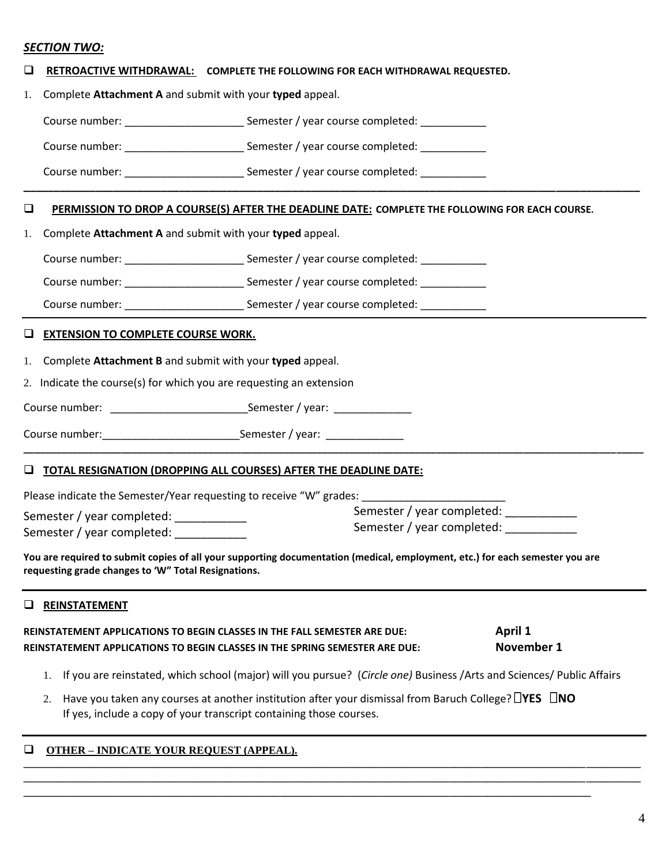#### *SECTION TWO:*

|  |  | $\Box$ RETROACTIVE WITHDRAWAL: COMPLETE THE FOLLOWING FOR EACH WITHDRAWAL REQUESTED. |
|--|--|--------------------------------------------------------------------------------------|
|--|--|--------------------------------------------------------------------------------------|

1. Complete **Attachment A** and submit with your **typed** appeal.

Course number: <br>
Semester / year course completed:

Course number:  $\Box$  Semester / year course completed:

Course number: <br>
Semester / year course completed:

#### **PERMISSION TO DROP A COURSE(S) AFTER THE DEADLINE DATE: COMPLETE THE FOLLOWING FOR EACH COURSE.**

**\_\_\_\_\_\_\_\_\_\_\_\_\_\_\_\_\_\_\_\_\_\_\_\_\_\_\_\_\_\_\_\_\_\_\_\_\_\_\_\_\_\_\_\_\_\_\_\_\_\_\_\_\_\_\_\_\_\_\_\_\_\_\_\_\_\_\_\_\_\_\_\_\_\_\_\_\_\_\_\_\_\_\_\_\_\_\_\_\_\_\_\_\_\_\_\_\_\_\_\_\_\_\_**

1. Complete **Attachment A** and submit with your **typed** appeal.

Course number: \_\_\_\_\_\_\_\_\_\_\_\_\_\_\_\_\_\_\_\_ Semester / year course completed: \_\_\_\_\_\_\_\_\_\_\_

Course number: \_\_\_\_\_\_\_\_\_\_\_\_\_\_\_\_\_\_\_\_\_\_\_\_\_\_\_\_Semester / year course completed: \_\_\_\_\_\_\_\_\_\_

Course number: \_\_\_\_\_\_\_\_\_\_\_\_\_\_\_\_\_\_\_\_\_\_\_\_\_\_\_\_Semester / year course completed: \_\_\_\_\_\_\_\_\_\_

#### **EXTENSION TO COMPLETE COURSE WORK.**

1. Complete **Attachment B** and submit with your **typed** appeal.

2. Indicate the course(s) for which you are requesting an extension

Course number: \_\_\_\_\_\_\_\_\_\_\_\_\_\_\_\_\_\_\_\_\_\_\_\_\_\_\_\_\_\_\_\_Semester / year: \_\_\_\_\_\_\_\_\_\_\_\_\_\_\_\_

Course number: example of the Semester / year:  $\sim$  Semester / year:

#### **TOTAL RESIGNATION (DROPPING ALL COURSES) AFTER THE DEADLINE DATE:**

| Please indicate the Semester/Year requesting to receive "W" grades: |                            |
|---------------------------------------------------------------------|----------------------------|
| Semester / year completed:                                          | Semester / year completed: |
| Semester / year completed:                                          | Semester / year completed: |
|                                                                     |                            |

**\_\_\_\_\_\_\_\_\_\_\_\_\_\_\_\_\_\_\_\_\_\_\_\_\_\_\_\_\_\_\_\_\_\_\_\_\_\_\_\_\_\_\_\_\_\_\_\_\_\_\_\_\_\_\_\_\_\_\_\_\_\_\_\_\_\_\_\_\_\_\_\_\_\_\_\_\_\_\_\_\_\_\_\_\_\_\_\_\_\_\_\_\_\_\_\_\_\_\_\_\_\_\_\_\_\_\_\_\_\_\_\_\_\_**

**You are required to submit copies of all your supporting documentation (medical, employment, etc.) for each semester you are requesting grade changes to 'W" Total Resignations.**

#### **REINSTATEMENT**

**REINSTATEMENT APPLICATIONS TO BEGIN CLASSES IN THE FALL SEMESTER ARE DUE: April 1 REINSTATEMENT APPLICATIONS TO BEGIN CLASSES IN THE SPRING SEMESTER ARE DUE: November 1**

1. If you are reinstated, which school (major) will you pursue? (*Circle one)* Business /Arts and Sciences/ Public Affairs

**\_\_\_\_\_\_\_\_\_\_\_\_\_\_\_\_\_\_\_\_\_\_\_\_\_\_\_\_\_\_\_\_\_\_\_\_\_\_\_\_\_\_\_\_\_\_\_\_\_\_\_\_\_\_\_\_\_\_\_\_\_\_\_\_\_\_\_\_\_\_\_\_\_\_\_\_\_\_\_\_\_\_\_\_\_\_\_\_\_\_\_\_\_\_\_\_\_\_\_\_\_\_\_\_\_\_\_\_\_\_\_\_\_ \_\_\_\_\_\_\_\_\_\_\_\_\_\_\_\_\_\_\_\_\_\_\_\_\_\_\_\_\_\_\_\_\_\_\_\_\_\_\_\_\_\_\_\_\_\_\_\_\_\_\_\_\_\_\_\_\_\_\_\_\_\_\_\_\_\_\_\_\_\_\_\_\_\_\_\_\_\_\_\_\_\_\_\_\_\_\_\_\_\_\_\_\_\_\_\_\_\_\_\_\_\_\_\_\_\_\_\_\_\_\_\_\_**

2. Have you taken any courses at another institution after your dismissal from Baruch College? **YES NO** If yes, include a copy of your transcript containing those courses.

**\_\_\_\_\_\_\_\_\_\_\_\_\_\_\_\_\_\_\_\_\_\_\_\_\_\_\_\_\_\_\_\_\_\_\_\_\_\_\_\_\_\_\_\_\_\_\_\_\_\_\_\_\_\_\_\_\_\_\_\_\_\_\_\_\_\_\_\_\_\_\_\_\_\_\_\_\_\_\_\_\_\_\_\_\_\_\_\_\_\_\_\_\_\_\_\_\_\_\_\_\_\_\_\_**

#### **OTHER – INDICATE YOUR REQUEST (APPEAL).**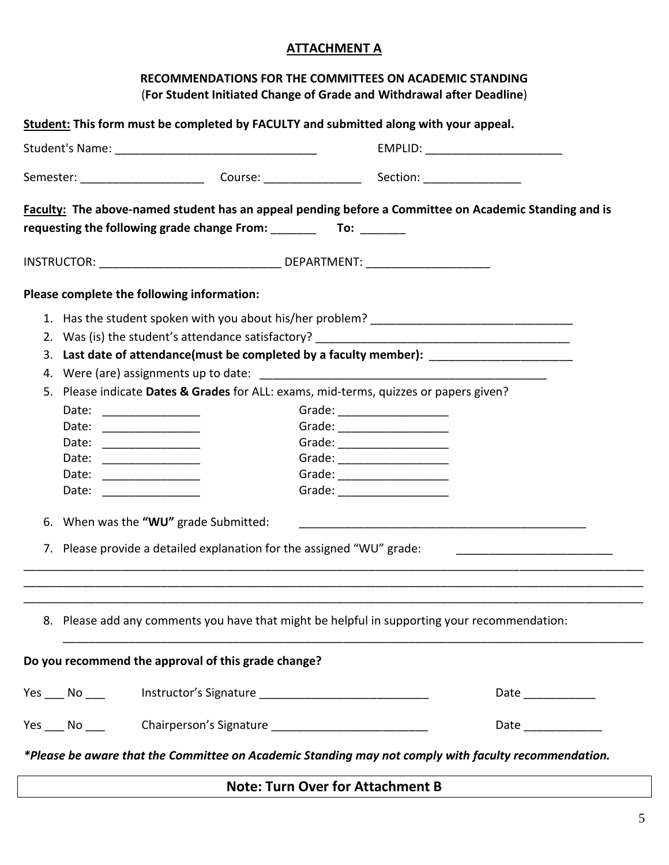## **ATTACHMENT A**

| RECOMMENDATIONS FOR THE COMMITTEES ON ACADEMIC STANDING                               |
|---------------------------------------------------------------------------------------|
| (For Student Initiated Change of Grade and Withdrawal after Deadline)                 |
| Student: This form must be completed by FACULTY and submitted along with your appeal. |
|                                                                                       |

|                                                                                         |                                                                                    |                                                                                                                                                                | EMPLID: __________________________                                                                                                                                                                                                                                                                                                                                                                                                                                                                                                                                               |  |  |
|-----------------------------------------------------------------------------------------|------------------------------------------------------------------------------------|----------------------------------------------------------------------------------------------------------------------------------------------------------------|----------------------------------------------------------------------------------------------------------------------------------------------------------------------------------------------------------------------------------------------------------------------------------------------------------------------------------------------------------------------------------------------------------------------------------------------------------------------------------------------------------------------------------------------------------------------------------|--|--|
|                                                                                         |                                                                                    |                                                                                                                                                                |                                                                                                                                                                                                                                                                                                                                                                                                                                                                                                                                                                                  |  |  |
|                                                                                         |                                                                                    |                                                                                                                                                                |                                                                                                                                                                                                                                                                                                                                                                                                                                                                                                                                                                                  |  |  |
|                                                                                         |                                                                                    |                                                                                                                                                                |                                                                                                                                                                                                                                                                                                                                                                                                                                                                                                                                                                                  |  |  |
|                                                                                         |                                                                                    |                                                                                                                                                                |                                                                                                                                                                                                                                                                                                                                                                                                                                                                                                                                                                                  |  |  |
|                                                                                         |                                                                                    |                                                                                                                                                                |                                                                                                                                                                                                                                                                                                                                                                                                                                                                                                                                                                                  |  |  |
| Last date of attendance(must be completed by a faculty member): _________________<br>3. |                                                                                    |                                                                                                                                                                |                                                                                                                                                                                                                                                                                                                                                                                                                                                                                                                                                                                  |  |  |
|                                                                                         |                                                                                    |                                                                                                                                                                |                                                                                                                                                                                                                                                                                                                                                                                                                                                                                                                                                                                  |  |  |
|                                                                                         | Please indicate Dates & Grades for ALL: exams, mid-terms, quizzes or papers given? |                                                                                                                                                                |                                                                                                                                                                                                                                                                                                                                                                                                                                                                                                                                                                                  |  |  |
|                                                                                         |                                                                                    |                                                                                                                                                                |                                                                                                                                                                                                                                                                                                                                                                                                                                                                                                                                                                                  |  |  |
|                                                                                         |                                                                                    |                                                                                                                                                                |                                                                                                                                                                                                                                                                                                                                                                                                                                                                                                                                                                                  |  |  |
| Date:                                                                                   |                                                                                    |                                                                                                                                                                |                                                                                                                                                                                                                                                                                                                                                                                                                                                                                                                                                                                  |  |  |
|                                                                                         |                                                                                    |                                                                                                                                                                |                                                                                                                                                                                                                                                                                                                                                                                                                                                                                                                                                                                  |  |  |
|                                                                                         |                                                                                    |                                                                                                                                                                |                                                                                                                                                                                                                                                                                                                                                                                                                                                                                                                                                                                  |  |  |
|                                                                                         |                                                                                    |                                                                                                                                                                |                                                                                                                                                                                                                                                                                                                                                                                                                                                                                                                                                                                  |  |  |
|                                                                                         |                                                                                    |                                                                                                                                                                |                                                                                                                                                                                                                                                                                                                                                                                                                                                                                                                                                                                  |  |  |
|                                                                                         |                                                                                    |                                                                                                                                                                |                                                                                                                                                                                                                                                                                                                                                                                                                                                                                                                                                                                  |  |  |
|                                                                                         |                                                                                    |                                                                                                                                                                |                                                                                                                                                                                                                                                                                                                                                                                                                                                                                                                                                                                  |  |  |
|                                                                                         |                                                                                    |                                                                                                                                                                |                                                                                                                                                                                                                                                                                                                                                                                                                                                                                                                                                                                  |  |  |
|                                                                                         |                                                                                    |                                                                                                                                                                |                                                                                                                                                                                                                                                                                                                                                                                                                                                                                                                                                                                  |  |  |
|                                                                                         |                                                                                    |                                                                                                                                                                | Date $\_$                                                                                                                                                                                                                                                                                                                                                                                                                                                                                                                                                                        |  |  |
|                                                                                         |                                                                                    |                                                                                                                                                                | Date _____________                                                                                                                                                                                                                                                                                                                                                                                                                                                                                                                                                               |  |  |
|                                                                                         |                                                                                    |                                                                                                                                                                |                                                                                                                                                                                                                                                                                                                                                                                                                                                                                                                                                                                  |  |  |
|                                                                                         | Date:<br>Date:                                                                     | Please complete the following information:<br>Date: ________________<br>Date: _______________<br>Date: ______________<br>6. When was the "WU" grade Submitted: | Faculty: The above-named student has an appeal pending before a Committee on Academic Standing and is<br>requesting the following grade change From: To: To: To:<br>Grade: $\qquad \qquad \qquad \qquad$<br>Grade: _____________________<br>7. Please provide a detailed explanation for the assigned "WU" grade:<br>8. Please add any comments you have that might be helpful in supporting your recommendation:<br>Do you recommend the approval of this grade change?<br>*Please be aware that the Committee on Academic Standing may not comply with faculty recommendation. |  |  |

## **Note: Turn Over for Attachment B**